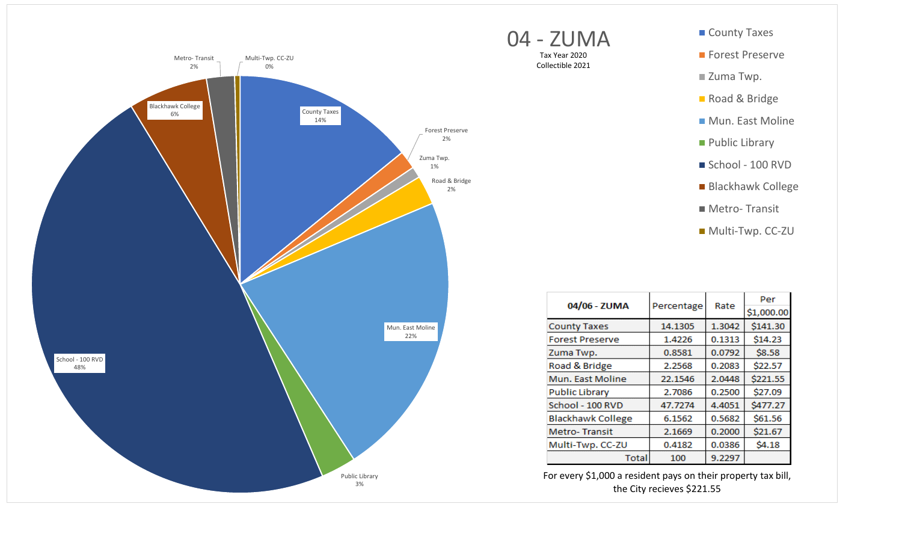



Tax Year 2020 Collectible 2021

| 04/06 - ZUMA<br>Percentage |         | Rate       | Per      |
|----------------------------|---------|------------|----------|
|                            |         | \$1,000.00 |          |
| <b>County Taxes</b>        | 14.1305 | 1.3042     | \$141.30 |
| <b>Forest Preserve</b>     | 1.4226  | 0.1313     | \$14.23  |
| Zuma Twp.                  | 0.8581  | 0.0792     | \$8.58   |
| Road & Bridge              | 2.2568  | 0.2083     | \$22.57  |
| Mun. East Moline           | 22.1546 | 2.0448     | \$221.55 |
| <b>Public Library</b>      | 2.7086  | 0.2500     | \$27.09  |
| School - 100 RVD           | 47.7274 | 4.4051     | \$477.27 |
| <b>Blackhawk College</b>   | 6.1562  | 0.5682     | \$61.56  |
| <b>Metro-Transit</b>       | 2.1669  | 0.2000     | \$21.67  |
| Multi-Twp. CC-ZU           | 0.4182  | 0.0386     | \$4.18   |
| Total                      | 100     | 9.2297     |          |

For every \$1,000 a resident pays on their property tax bill, the City recieves \$221.55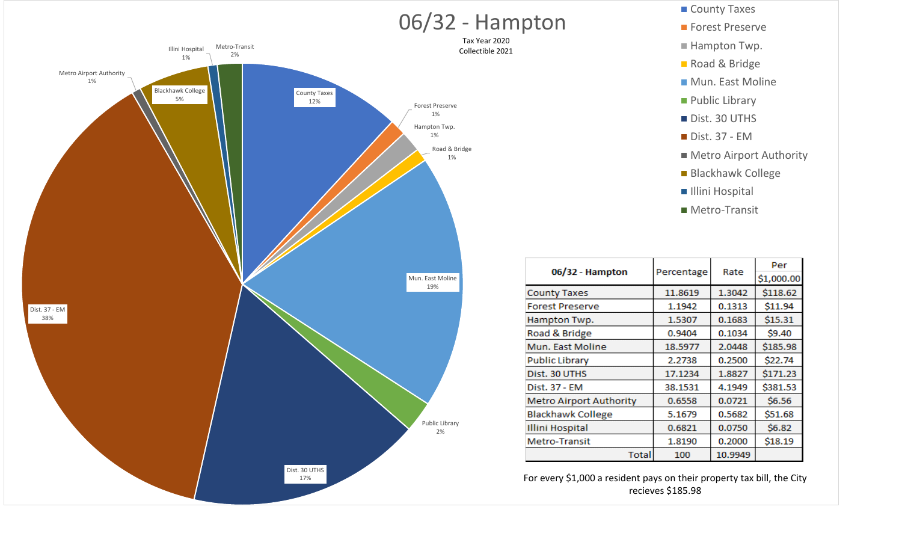

- 
- Hampton Twp.
- Road & Bridge
- Mun. East Moline
- **Public Library**
- Dist. 30 UTHS
- Dist. 37 EM
- **Metro Airport Authority**
- Blackhawk College
- **Illini Hospital**
- Metro‐Transit

| 06/32 - Hampton                |            | Rate    | Per        |
|--------------------------------|------------|---------|------------|
|                                | Percentage |         | \$1,000.00 |
| <b>County Taxes</b>            | 11.8619    | 1.3042  | \$118.62   |
| <b>Forest Preserve</b>         | 1.1942     | 0.1313  | \$11.94    |
| Hampton Twp.                   | 1.5307     | 0.1683  | \$15.31    |
| Road & Bridge                  | 0.9404     | 0.1034  | \$9.40     |
| Mun. East Moline               | 18.5977    | 2.0448  | \$185.98   |
| <b>Public Library</b>          | 2.2738     | 0.2500  | \$22.74    |
| Dist. 30 UTHS                  | 17.1234    | 1.8827  | \$171.23   |
| Dist. 37 - EM                  | 38.1531    | 4.1949  | \$381.53   |
| <b>Metro Airport Authority</b> | 0.6558     | 0.0721  | \$6.56     |
| <b>Blackhawk College</b>       | 5.1679     | 0.5682  | \$51.68    |
| <b>Illini Hospital</b>         | 0.6821     | 0.0750  | \$6.82     |
| Metro-Transit                  | 1.8190     | 0.2000  | \$18.19    |
| Total                          | 100        | 10.9949 |            |

For every \$1,000 a resident pays on their property tax bill, the City recieves \$185.98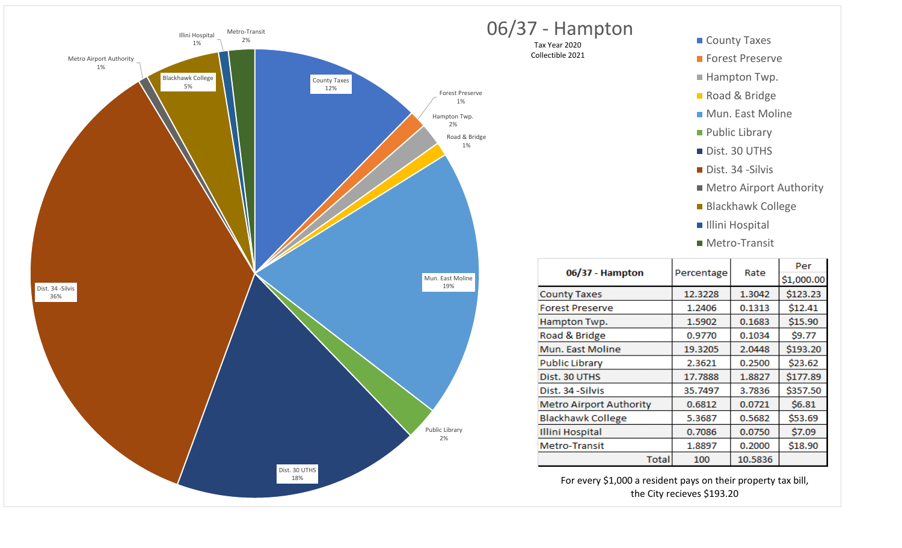



| 06/37 - Hampton                |            | Rate    | Per        |
|--------------------------------|------------|---------|------------|
|                                | Percentage |         | \$1,000.00 |
| <b>County Taxes</b>            | 12.3228    | 1.3042  | \$123.23   |
| <b>Forest Preserve</b>         | 1.2406     | 0.1313  | \$12.41    |
| Hampton Twp.                   | 1.5902     | 0.1683  | \$15.90    |
| Road & Bridge                  | 0.9770     | 0.1034  | \$9.77     |
| Mun. East Moline               | 19.3205    | 2.0448  | \$193.20   |
| <b>Public Library</b>          | 2.3621     | 0.2500  | \$23.62    |
| Dist. 30 UTHS                  | 17.7888    | 1.8827  | \$177.89   |
| Dist. 34 - Silvis              | 35.7497    | 3.7836  | \$357.50   |
| <b>Metro Airport Authority</b> | 0.6812     | 0.0721  | \$6.81     |
| <b>Blackhawk College</b>       | 5.3687     | 0.5682  | \$53.69    |
| <b>Illini Hospital</b>         | 0.7086     | 0.0750  | \$7.09     |
| Metro-Transit                  | 1.8897     | 0.2000  | \$18.90    |
| Total                          | 100        | 10.5836 |            |

For every \$1,000 a resident pays on their property tax bill, the City recieves \$193.20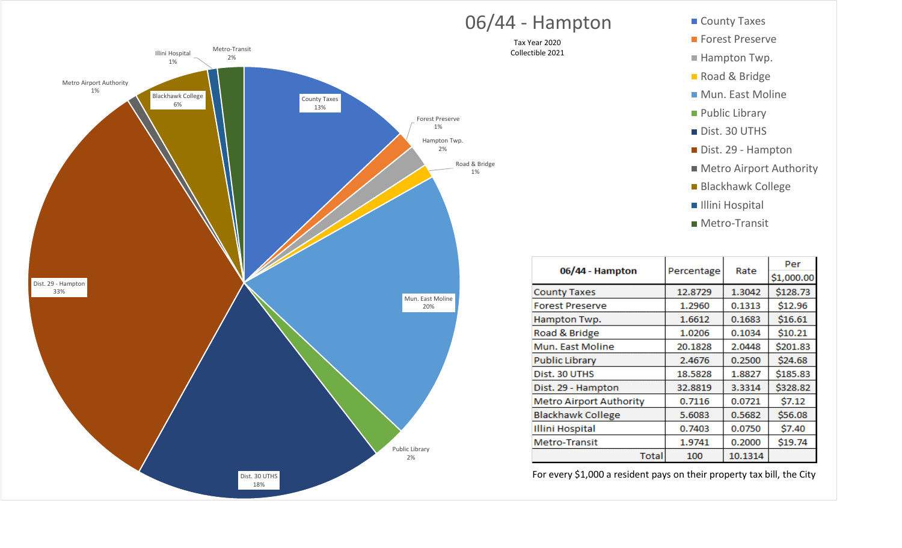

## O6/44 - Hampton County Taxes

Tax Year 2020 Collectible 2021

- 
- **Forest Preserve**
- Hampton Twp.
- Road & Bridge
- Mun. East Moline
- **Public Library**
- Dist. 30 UTHS
- Dist. 29 Hampton
- Metro Airport Authority
- Blackhawk College
- **Illini Hospital**
- Metro‐Transit

| 06/44 - Hampton                |            | Rate    | Per        |
|--------------------------------|------------|---------|------------|
|                                | Percentage |         | \$1,000.00 |
| <b>County Taxes</b>            | 12.8729    | 1.3042  | \$128.73   |
| <b>Forest Preserve</b>         | 1.2960     | 0.1313  | \$12.96    |
| Hampton Twp.                   | 1.6612     | 0.1683  | \$16.61    |
| Road & Bridge                  | 1.0206     | 0.1034  | \$10.21    |
| Mun. East Moline               | 20.1828    | 2.0448  | \$201.83   |
| <b>Public Library</b>          | 2.4676     | 0.2500  | \$24.68    |
| Dist. 30 UTHS                  | 18.5828    | 1.8827  | \$185.83   |
| Dist. 29 - Hampton             | 32.8819    | 3.3314  | \$328.82   |
| <b>Metro Airport Authority</b> | 0.7116     | 0.0721  | \$7.12     |
| <b>Blackhawk College</b>       | 5.6083     | 0.5682  | \$56.08    |
| <b>Illini Hospital</b>         | 0.7403     | 0.0750  | \$7.40     |
| Metro-Transit                  | 1.9741     | 0.2000  | \$19.74    |
| Total                          | 100        | 10.1314 |            |

For every \$1,000 a resident pays on their property tax bill, the City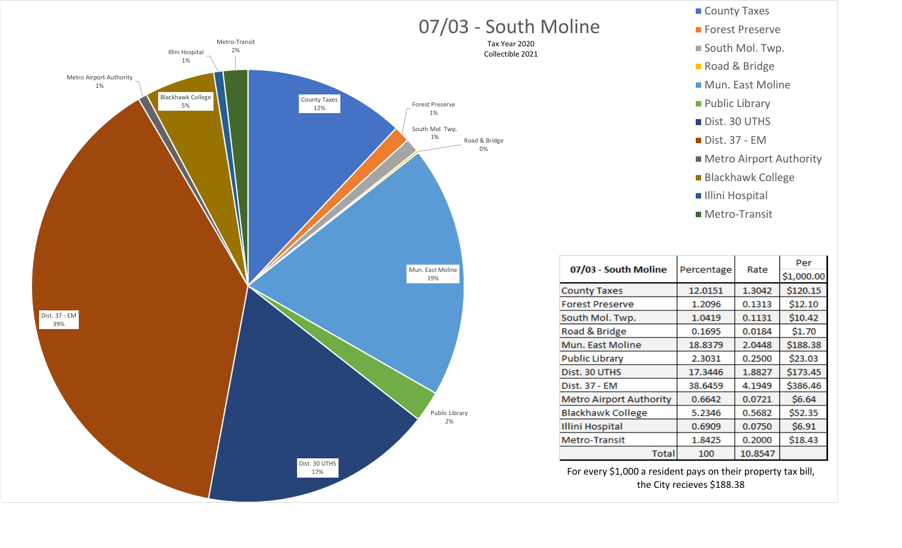

## County Taxes Forest Preserve ■ South Mol. Twp. Road & Bridge **Mun. East Moline Public Library** Dist. 30 UTHS Dist. 37 ‐ EM **Metro Airport Authority** Blackhawk College Illini Hospital Metro‐Transit

| 07/03 - South Moline           |            |         | Per        |
|--------------------------------|------------|---------|------------|
|                                | Percentage | Rate    | \$1,000.00 |
| <b>County Taxes</b>            | 12.0151    | 1.3042  | \$120.15   |
| Forest Preserve                | 1.2096     | 0.1313  | \$12.10    |
| South Mol. Twp.                | 1.0419     | 0.1131  | \$10.42    |
| Road & Bridge                  | 0.1695     | 0.0184  | \$1.70     |
| Mun. East Moline               | 18.8379    | 2.0448  | \$188.38   |
| <b>Public Library</b>          | 2.3031     | 0.2500  | \$23.03    |
| Dist. 30 UTHS                  | 17.3446    | 1.8827  | \$173.45   |
| Dist. 37 - EM                  | 38.6459    | 4.1949  | \$386.46   |
| <b>Metro Airport Authority</b> | 0.6642     | 0.0721  | \$6.64     |
| <b>Blackhawk College</b>       | 5.2346     | 0.5682  | \$52.35    |
| <b>Illini Hospital</b>         | 0.6909     | 0.0750  | \$6.91     |
| <b>Metro-Transit</b>           | 1.8425     | 0.2000  | \$18.43    |
| Total                          | 100        | 10.8547 |            |

For every \$1,000 a resident pays on their property tax bill, the City recieves \$188.38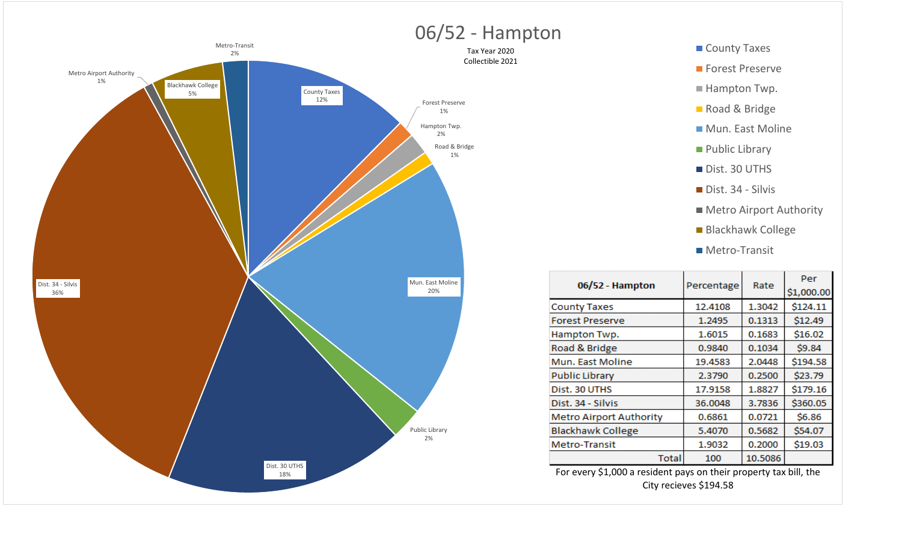





| 06/52 - Hampton                |         | Percentage<br>Rate | Per        |
|--------------------------------|---------|--------------------|------------|
|                                |         |                    | \$1,000.00 |
| <b>County Taxes</b>            | 12.4108 | 1.3042             | \$124.11   |
| <b>Forest Preserve</b>         | 1.2495  | 0.1313             | \$12.49    |
| Hampton Twp.                   | 1.6015  | 0.1683             | \$16.02    |
| Road & Bridge                  | 0.9840  | 0.1034             | \$9.84     |
| Mun. East Moline               | 19.4583 | 2.0448             | \$194.58   |
| <b>Public Library</b>          | 2.3790  | 0.2500             | \$23.79    |
| Dist. 30 UTHS                  | 17.9158 | 1.8827             | \$179.16   |
| Dist. 34 - Silvis              | 36.0048 | 3.7836             | \$360.05   |
| <b>Metro Airport Authority</b> | 0.6861  | 0.0721             | \$6.86     |
| <b>Blackhawk College</b>       | 5.4070  | 0.5682             | \$54.07    |
| <b>Metro-Transit</b>           | 1.9032  | 0.2000             | \$19.03    |
| Total                          | 100     | 10.5086            |            |

For every \$1,000 a resident pays on their property tax bill, the City recieves \$194.58